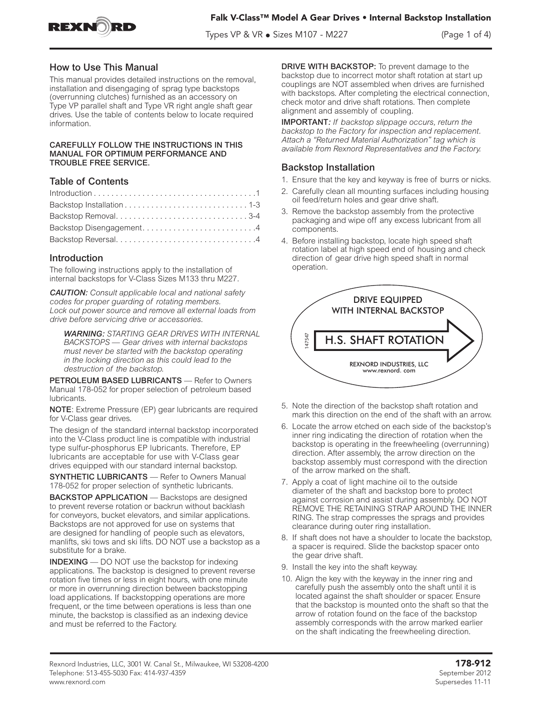

Types VP & VR  $\bullet$  Sizes M107 - M227  $\hspace{1cm}$  (Page 1 of 4)

# How to Use This Manual

This manual provides detailed instructions on the removal, installation and disengaging of sprag type backstops (overrunning clutches) furnished as an accessory on Type VP parallel shaft and Type VR right angle shaft gear drives. Use the table of contents below to locate required information.

### CAREFULLY FOLLOW THE INSTRUCTIONS IN THIS MANUAL FOR OPTIMUM PERFORMANCE AND TROUBLE FREE SERVICE.

# Table of Contents

| Backstop Removal3-4     |  |
|-------------------------|--|
| Backstop Disengagement4 |  |
|                         |  |

# Introduction

The following instructions apply to the installation of internal backstops for V-Class Sizes M133 thru M227.

*CAUTION: Consult applicable local and national safety codes for proper guarding of rotating members. Lock out power source and remove all external loads from drive before servicing drive or accessories.*

*WARNING: STARTING GEAR DRIVES WITH INTERNAL BACKSTOPS — Gear drives with internal backstops must never be started with the backstop operating in the locking direction as this could lead to the destruction of the backstop.*

PETROLEUM BASED LUBRICANTS - Refer to Owners Manual 178-052 for proper selection of petroleum based lubricants.

NOTE: Extreme Pressure (EP) gear lubricants are required for V-Class gear drives.

The design of the standard internal backstop incorporated into the V-Class product line is compatible with industrial type sulfur-phosphorus EP lubricants. Therefore, EP lubricants are acceptable for use with V-Class gear drives equipped with our standard internal backstop.

SYNTHETIC LUBRICANTS — Refer to Owners Manual 178-052 for proper selection of synthetic lubricants.

BACKSTOP APPLICATION — Backstops are designed to prevent reverse rotation or backrun without backlash for conveyors, bucket elevators, and similar applications. Backstops are not approved for use on systems that are designed for handling of people such as elevators, manlifts, ski tows and ski lifts. DO NOT use a backstop as a substitute for a brake.

INDEXING — DO NOT use the backstop for indexing applications. The backstop is designed to prevent reverse rotation five times or less in eight hours, with one minute or more in overrunning direction between backstopping load applications. If backstopping operations are more frequent, or the time between operations is less than one minute, the backstop is classified as an indexing device and must be referred to the Factory.

DRIVE WITH BACKSTOP: To prevent damage to the backstop due to incorrect motor shaft rotation at start up couplings are NOT assembled when drives are furnished with backstops. After completing the electrical connection, check motor and drive shaft rotations. Then complete alignment and assembly of coupling.

IMPORTANT*: If backstop slippage occurs, return the backstop to the Factory for inspection and replacement. Attach a "Returned Material Authorization" tag which is available from Rexnord Representatives and the Factory.*

# Backstop Installation

- 1. Ensure that the key and keyway is free of burrs or nicks.
- 2. Carefully clean all mounting surfaces including housing oil feed/return holes and gear drive shaft.
- 3. Remove the backstop assembly from the protective packaging and wipe off any excess lubricant from all components.
- 4. Before installing backstop, locate high speed shaft rotation label at high speed end of housing and check direction of gear drive high speed shaft in normal operation.



- 5. Note the direction of the backstop shaft rotation and mark this direction on the end of the shaft with an arrow.
- 6. Locate the arrow etched on each side of the backstop's inner ring indicating the direction of rotation when the backstop is operating in the freewheeling (overrunning) direction. After assembly, the arrow direction on the backstop assembly must correspond with the direction of the arrow marked on the shaft.
- 7. Apply a coat of light machine oil to the outside diameter of the shaft and backstop bore to protect against corrosion and assist during assembly. DO NOT REMOVE THE RETAINING STRAP AROUND THE INNER RING. The strap compresses the sprags and provides clearance during outer ring installation.
- 8. If shaft does not have a shoulder to locate the backstop, a spacer is required. Slide the backstop spacer onto the gear drive shaft.
- 9. Install the key into the shaft keyway.
- 10. Align the key with the keyway in the inner ring and carefully push the assembly onto the shaft until it is located against the shaft shoulder or spacer. Ensure that the backstop is mounted onto the shaft so that the arrow of rotation found on the face of the backstop assembly corresponds with the arrow marked earlier on the shaft indicating the freewheeling direction.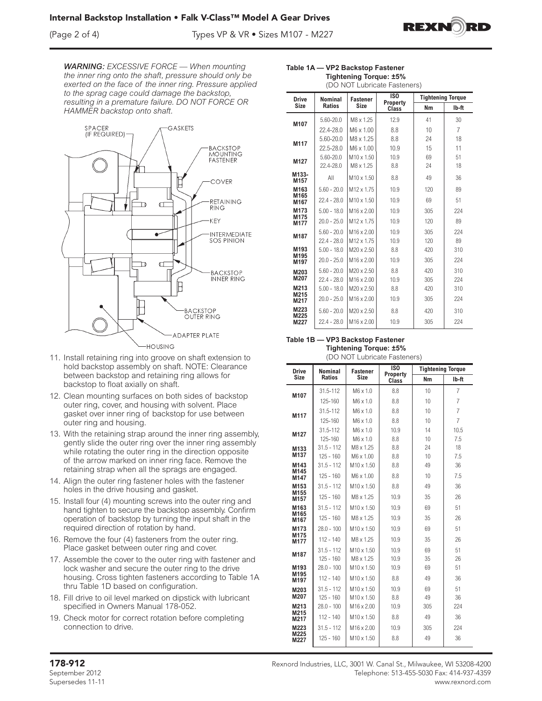## (Page 2 of 4) Types VP & VR • Sizes M107 - M227



*WARNING: EXCESSIVE FORCE — When mounting the inner ring onto the shaft, pressure should only be exerted on the face of the inner ring. Pressure applied to the sprag cage could damage the backstop, resulting in a premature failure. DO NOT FORCE OR HAMMER backstop onto shaft.*



- 11. Install retaining ring into groove on shaft extension to hold backstop assembly on shaft. NOTE: Clearance between backstop and retaining ring allows for backstop to float axially on shaft.
- 12. Clean mounting surfaces on both sides of backstop outer ring, cover, and housing with solvent. Place gasket over inner ring of backstop for use between outer ring and housing.
- 13. With the retaining strap around the inner ring assembly, gently slide the outer ring over the inner ring assembly while rotating the outer ring in the direction opposite of the arrow marked on inner ring face. Remove the retaining strap when all the sprags are engaged.
- 14. Align the outer ring fastener holes with the fastener holes in the drive housing and gasket.
- 15. Install four (4) mounting screws into the outer ring and hand tighten to secure the backstop assembly. Confirm operation of backstop by turning the input shaft in the required direction of rotation by hand.
- 16. Remove the four (4) fasteners from the outer ring. Place gasket between outer ring and cover.
- 17. Assemble the cover to the outer ring with fastener and lock washer and secure the outer ring to the drive housing. Cross tighten fasteners according to Table 1A thru Table 1D based on configuration.
- 18. Fill drive to oil level marked on dipstick with lubricant specified in Owners Manual 178-052.
- 19. Check motor for correct rotation before completing connection to drive.

| (DO NOT Lubricate Fasteners) |                                |                                             |                                      |                                |            |
|------------------------------|--------------------------------|---------------------------------------------|--------------------------------------|--------------------------------|------------|
| <b>Drive</b><br><b>Size</b>  | Nominal<br><b>Ratios</b>       | <b>Fastener</b><br><b>Size</b>              | IS <sub>0</sub><br>Property<br>Class | <b>Tightening Torque</b><br>Nm | Ib-ft      |
| M107                         | 5.60-20.0                      | M8 x 1.25                                   | 12.9                                 | 41                             | 30         |
|                              | 22.4-28.0<br>$5.60 - 20.0$     | M6 x 1.00<br>M8 x 1.25                      | 8.8<br>8.8                           | 10<br>24                       | 7<br>18    |
| M117                         | $22.5 - 28.0$                  | M6 x 1.00                                   | 10.9                                 | 15                             | 11         |
| M127                         | 5.60-20.0<br>22.4-28.0         | M <sub>10</sub> x 1.50<br>M8 x 1.25         | 10.9<br>8.8                          | 69<br>24                       | 51<br>18   |
| M133-<br>M157                | All                            | M <sub>10</sub> x 1.50                      | 8.8                                  | 49                             | 36         |
| M163<br>M165                 | $5.60 - 20.0$                  | M <sub>12</sub> x 1.75                      | 10.9                                 | 120                            | 89         |
| M167<br>M173                 | $22.4 - 28.0$<br>$5.00 - 18.0$ | $M10 \times 1.50$<br>M <sub>16</sub> x 2.00 | 10.9<br>10.9                         | 69<br>305                      | 51<br>224  |
| M175<br>M177                 | $20.0 - 25.0$                  | M <sub>12</sub> x 1.75                      | 10.9                                 | 120                            | 89         |
| M187                         | $5.60 - 20.0$                  | M <sub>16</sub> x 2.00                      | 10.9                                 | 305                            | 224        |
| M193                         | $22.4 - 28.0$<br>$5.00 - 18.0$ | M <sub>12</sub> x 1.75<br>M20 x 2.50        | 10.9<br>8.8                          | 120<br>420                     | 89<br>310  |
| M195<br>M197                 | $20.0 - 25.0$                  | M <sub>16</sub> x 2.00                      | 10.9                                 | 305                            | 224        |
| M203<br>M207                 | $5.60 - 20.0$<br>$22.4 - 28.0$ | M20 x 2.50<br>M16 x 2.00                    | 8.8<br>10.9                          | 420<br>305                     | 310<br>224 |
| M213<br>M215                 | $5.00 - 18.0$                  | M20 x 2.50                                  | 8.8                                  | 420                            | 310        |
| M217                         | $20.0 - 25.0$                  | M <sub>16</sub> x 2.00                      | 10.9                                 | 305                            | 224        |
| M223<br>M225                 | $5.60 - 20.0$                  | M20 x 2.50                                  | 8.8                                  | 420                            | 310        |
| M227                         | $22.4 - 28.0$                  | M <sub>16</sub> x 2.00                      | 10.9                                 | 305                            | 224        |

## **Table 1B — VP3 Backstop Fastener Tightening Torque: ±5%**

| (DO NOT Lubricate Fasteners) |  |
|------------------------------|--|
|                              |  |
|                              |  |

| <b>Drive</b> | <b>Nominal</b> | <b>Fastener</b>        | ISO<br>Property | <b>Tightening Torque</b> |                |
|--------------|----------------|------------------------|-----------------|--------------------------|----------------|
| <b>Size</b>  | <b>Ratios</b>  | <b>Size</b>            | Class           | <b>Nm</b>                | Ib-ft          |
| M107         | 31.5-112       | $M6 \times 1.0$        | 8.8             | 10                       | $\overline{7}$ |
|              | 125-160        | $M6 \times 1.0$        | 8.8             | 10                       | 7              |
| M117         | 31.5-112       | M6 x 1.0               | 8.8             | 10                       | 7              |
|              | 125-160        | $M6 \times 1.0$        | 8.8             | 10                       | $\overline{7}$ |
| M127         | 31.5-112       | $M6 \times 1.0$        | 10.9            | 14                       | 10.5           |
|              | 125-160        | $M6 \times 1.0$        | 8.8             | 10                       | 7.5            |
| M133         | $31.5 - 112$   | M8 x 1.25              | 8.8             | 24                       | 18             |
| M137         | $125 - 160$    | M6 x 1.00              | 8.8             | 10                       | 7.5            |
| M143<br>M145 | $31.5 - 112$   | M10 x 1.50             | 8.8             | 49                       | 36             |
| M147         | $125 - 160$    | M6 x 1.00              | 8.8             | 10                       | 7.5            |
| M153<br>M155 | $31.5 - 112$   | M <sub>10</sub> x 1.50 | 8.8             | 49                       | 36             |
| M157         | $125 - 160$    | M8 x 1.25              | 10.9            | 35                       | 26             |
| M163         | $31.5 - 112$   | $M10 \times 1.50$      | 10.9            | 69                       | 51             |
| M165<br>M167 | $125 - 160$    | M8 x 1.25              | 10.9            | 35                       | 26             |
| M173         | $28.0 - 100$   | $M10 \times 1.50$      | 10.9            | 69                       | 51             |
| M175<br>M177 | $112 - 140$    | M8 x 1.25              | 10.9            | 35                       | 26             |
| M187         | $31.5 - 112$   | M <sub>10</sub> x 1.50 | 10.9            | 69                       | 51             |
|              | $125 - 160$    | M8 x 1.25              | 10.9            | 35                       | 26             |
| M193         | $28.0 - 100$   | M10 x 1.50             | 10.9            | 69                       | 51             |
| M195<br>M197 | $112 - 140$    | $M10 \times 1.50$      | 8.8             | 49                       | 36             |
| M203         | $31.5 - 112$   | M10 x 1.50             | 10.9            | 69                       | 51             |
| M207         | $125 - 160$    | M10 x 1.50             | 8.8             | 49                       | 36             |
| M213         | $28.0 - 100$   | M16 x 2.00             | 10.9            | 305                      | 224            |
| M215<br>M217 | $112 - 140$    | M <sub>10</sub> x 1.50 | 8.8             | 49                       | 36             |
| M223         | $31.5 - 112$   | M <sub>16</sub> x 2.00 | 10.9            | 305                      | 224            |
| M225<br>M227 | $125 - 160$    | M <sub>10</sub> x 1.50 | 8.8             | 49                       | 36             |

#### **Table 1A — VP2 Backstop Fastener Tightening Torque: ±5%**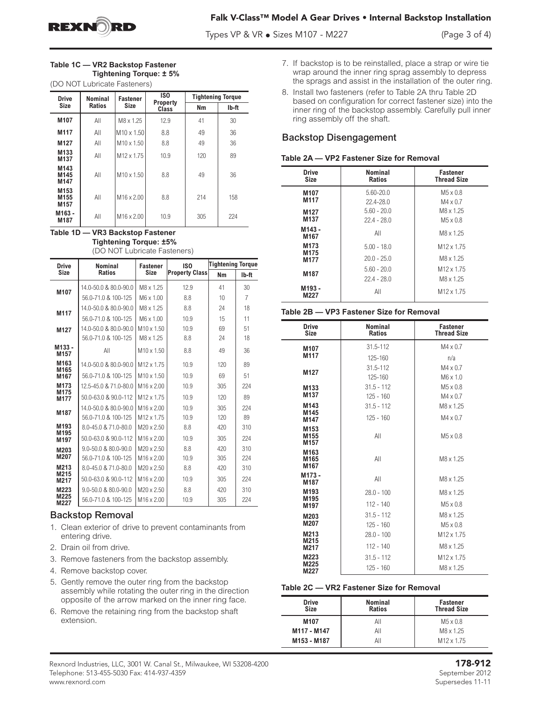

Types VP & VR • Sizes M107 - M227 (Page 3 of 4)

| Table 1C - VR2 Backstop Fastener |
|----------------------------------|
| Tightening Torque: ± 5%          |
| (DO NOT Lubricate Fasteners)     |

| <b>Drive</b>                                             | <b>Nominal</b> | <b>Fastener</b>        | IS <sub>0</sub><br>Property | <b>Tightening Torque</b> |       |
|----------------------------------------------------------|----------------|------------------------|-----------------------------|--------------------------|-------|
| <b>Size</b>                                              | <b>Ratios</b>  | <b>Size</b>            | Class                       | Nm                       | Ib-ft |
| M107                                                     | All            | M8 x 1.25              | 12.9                        | 41                       | 30    |
| M117                                                     | All            | $M10 \times 1.50$      | 8.8                         | 49                       | 36    |
| M127                                                     | All            | $M10 \times 1.50$      | 8.8                         | 49                       | 36    |
| M <sub>133</sub><br>M137                                 | All            | M <sub>12</sub> x 1.75 | 10.9                        | 120                      | 89    |
| M143<br>M145<br>M147                                     | All            | $M10 \times 1.50$      | 8.8                         | 49                       | 36    |
| M <sub>153</sub><br>M <sub>155</sub><br>M <sub>157</sub> | All            | M <sub>16</sub> x 2.00 | 8.8                         | 214                      | 158   |
| M163 -<br>M187                                           | All            | M <sub>16</sub> x 2.00 | 10.9                        | 305                      | 224   |

**Table 1D — VR3 Backstop Fastener Tightening Torque: ±5%**

(DO NOT Lubricate Fasteners)

| <b>Drive</b>              | <b>Nominal</b><br><b>Fastener</b> |                        | IS <sub>0</sub>       | <b>Tightening Torque</b> |                |
|---------------------------|-----------------------------------|------------------------|-----------------------|--------------------------|----------------|
| <b>Size</b>               | <b>Ratios</b>                     | <b>Size</b>            | <b>Property Class</b> | Nm                       | Ib-ft          |
| M107                      | 14.0-50.0 & 80.0-90.0             | M8 x 1.25              | 12.9                  | 41                       | 30             |
|                           | 56.0-71.0 & 100-125               | $M6 \times 1.00$       | 8.8                   | 10                       | $\overline{7}$ |
| M117                      | 14.0-50.0 & 80.0-90.0             | M8 x 1.25              | 8.8                   | 24                       | 18             |
|                           | 56.0-71.0 & 100-125               | $M6 \times 1.00$       | 10.9                  | 15                       | 11             |
| M127                      | 14.0-50.0 & 80.0-90.0             | M <sub>10</sub> x 1.50 | 10.9                  | 69                       | 51             |
|                           | 56.0-71.0 & 100-125               | M8 x 1.25              | 8.8                   | 24                       | 18             |
| M133-<br>M <sub>157</sub> | AII                               | $M10 \times 1.50$      | 8.8                   | 49                       | 36             |
| M <sub>163</sub><br>M165  | 14.0-50.0 & 80.0-90.0             | M <sub>12</sub> x 1.75 | 10.9                  | 120                      | 89             |
| M167                      | 56.0-71.0 & 100-125               | $M10 \times 1.50$      | 10.9                  | 69                       | 51             |
| M <sub>173</sub><br>M175  | 12.5-45.0 & 71.0-80.0             | M <sub>16</sub> x 2.00 | 10.9                  | 305                      | 224            |
| M177                      | 50.0-63.0 & 90.0-112              | M <sub>12</sub> x 1.75 | 10.9                  | 120                      | 89             |
| M187                      | 14.0-50.0 & 80.0-90.0             | $M16 \times 2.00$      | 10.9                  | 305                      | 224            |
|                           | 56.0-71.0 & 100-125               | M <sub>12</sub> x 1.75 | 10.9                  | 120                      | 89             |
| M193<br>M195              | 8.0-45.0 & 71.0-80.0              | $M20 \times 2.50$      | 8.8                   | 420                      | 310            |
| M <sub>197</sub>          | 50.0-63.0 & 90.0-112              | $M16 \times 2.00$      | 10.9                  | 305                      | 224            |
| M203                      | 9.0-50.0 & 80.0-90.0              | M20 x 2.50             | 8.8                   | 420                      | 310            |
| M207                      | 56.0-71.0 & 100-125               | $M16 \times 2.00$      | 10.9                  | 305                      | 224            |
| M213<br>M215              | 8.0-45.0 & 71.0-80.0              | $M20 \times 2.50$      | 8.8                   | 420                      | 310            |
| M217                      | 50.0-63.0 & 90.0-112              | $M16 \times 2.00$      | 10.9                  | 305                      | 224            |
| M223                      | $9.0 - 50.0$ & $80.0 - 90.0$      | $M20 \times 2.50$      | 8.8                   | 420                      | 310            |
| M225<br>M227              | 56.0-71.0 & 100-125               | M <sub>16</sub> x 2.00 | 10.9                  | 305                      | 224            |

# Backstop Removal

- 1. Clean exterior of drive to prevent contaminants from entering drive.
- 2. Drain oil from drive.
- 3. Remove fasteners from the backstop assembly.
- 4. Remove backstop cover.
- 5. Gently remove the outer ring from the backstop assembly while rotating the outer ring in the direction opposite of the arrow marked on the inner ring face.
- 6. Remove the retaining ring from the backstop shaft extension.
- 7. If backstop is to be reinstalled, place a strap or wire tie wrap around the inner ring sprag assembly to depress the sprags and assist in the installation of the outer ring.
- 8. Install two fasteners (refer to Table 2A thru Table 2D based on configuration for correct fastener size) into the inner ring of the backstop assembly. Carefully pull inner ring assembly off the shaft.

# Backstop Disengagement

## **Table 2A — VP2 Fastener Size for Removal**

| <b>Drive</b><br>Size                 | Nominal<br><b>Ratios</b>       | <b>Fastener</b><br><b>Thread Size</b>           |
|--------------------------------------|--------------------------------|-------------------------------------------------|
| M107<br>M117                         | $5.60 - 20.0$<br>$22.4 - 28.0$ | $M5 \times 0.8$<br>$M4 \times 0.7$              |
| M127<br>M <sub>137</sub>             | $5.60 - 20.0$<br>$22.4 - 28.0$ | M8 x 1.25<br>$M5 \times 0.8$                    |
| M143-<br>M167                        | All                            | M8 x 1.25                                       |
| M <sub>173</sub><br>M <sub>175</sub> | $5.00 - 18.0$                  | M <sub>12</sub> x 1.75                          |
| M177                                 | $20.0 - 25.0$                  | M <sub>8</sub> x 1.25                           |
| M187                                 | $5.60 - 20.0$<br>$22.4 - 28.0$ | M <sub>12</sub> x 1.75<br>M <sub>8</sub> x 1.25 |
| M193 -<br>M227                       | All                            | M <sub>12</sub> x 1.75                          |

## **Table 2B — VP3 Fastener Size for Removal**

| <b>Drive</b><br><b>Size</b>                                      | Nominal<br><b>Ratios</b> | <b>Fastener</b><br><b>Thread Size</b> |
|------------------------------------------------------------------|--------------------------|---------------------------------------|
| M <sub>107</sub>                                                 | 31.5-112                 | $M4 \times 0.7$                       |
| M117                                                             | 125-160                  | n/a                                   |
| M127                                                             | 31.5-112                 | $M4 \times 0.7$                       |
|                                                                  | 125-160                  | $M6 \times 1.0$                       |
| M <sub>133</sub>                                                 | $31.5 - 112$             | $M5 \times 0.8$                       |
| M <sub>137</sub>                                                 | $125 - 160$              | $M4 \times 0.7$                       |
| M143<br>M145                                                     | $31.5 - 112$             | M <sub>8</sub> x 1.25                 |
| M147                                                             | $125 - 160$              | $M4 \times 0.7$                       |
| M <sub>153</sub><br>M <sub>155</sub>                             | All                      | $M5 \times 0.8$                       |
| M <sub>157</sub><br>M <sub>163</sub><br>M <sub>165</sub><br>M167 | All                      | M <sub>8</sub> x 1.25                 |
| M173-<br>M187                                                    | All                      | M8 x 1.25                             |
| M <sub>193</sub>                                                 | $28.0 - 100$             | M8 x 1.25                             |
| M <sub>195</sub><br>M <sub>197</sub>                             | $112 - 140$              | $M5 \times 0.8$                       |
| M203                                                             | $31.5 - 112$             | M8 x 1.25                             |
| M207                                                             | $125 - 160$              | $M5 \times 0.8$                       |
| M213                                                             | $28.0 - 100$             | M <sub>12</sub> x 1.75                |
| M215<br>M217                                                     | $112 - 140$              | M8 x 1.25                             |
| M223                                                             | $31.5 - 112$             | M <sub>12</sub> x 1.75                |
| M225<br>M227                                                     | $125 - 160$              | M8 x 1.25                             |

## **Table 2C — VR2 Fastener Size for Removal**

| <b>Drive</b><br><b>Size</b> | <b>Nominal</b><br><b>Ratios</b> | Fastener<br><b>Thread Size</b> |
|-----------------------------|---------------------------------|--------------------------------|
| M107                        | All                             | $M5 \times 0.8$                |
| M117 - M147                 | All                             | M8 x 1.25                      |
| M153 - M187                 | All                             | M <sub>12</sub> x 1.75         |